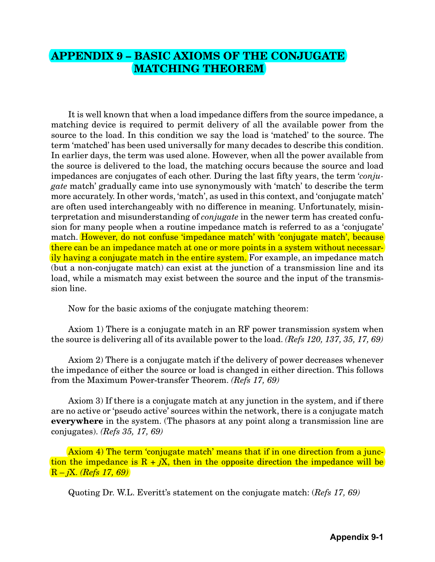## **APPENDIX 9 – BASIC AXIOMS OF THE CONJUGATE MATCHING THEOREM**

It is well known that when a load impedance differs from the source impedance, a matching device is required to permit delivery of all the available power from the source to the load. In this condition we say the load is 'matched' to the source. The term 'matched' has been used universally for many decades to describe this condition. In earlier days, the term was used alone. However, when all the power available from the source is delivered to the load, the matching occurs because the source and load impedances are conjugates of each other. During the last fifty years, the term '*conjugate* match' gradually came into use synonymously with 'match' to describe the term more accurately. In other words, 'match', as used in this context, and 'conjugate match' are often used interchangeably with no difference in meaning. Unfortunately, misinterpretation and misunderstanding of *conjugate* in the newer term has created confusion for many people when a routine impedance match is referred to as a 'conjugate' match. However, do not confuse 'impedance match' with 'conjugate match', because there can be an impedance match at one or more points in a system without necessarily having a conjugate match in the entire system. For example, an impedance match (but a non-conjugate match) can exist at the junction of a transmission line and its load, while a mismatch may exist between the source and the input of the transmission line.

Now for the basic axioms of the conjugate matching theorem:

Axiom 1) There is a conjugate match in an RF power transmission system when the source is delivering all of its available power to the load. *(Refs 120, 137, 35, 17, 69)*

Axiom 2) There is a conjugate match if the delivery of power decreases whenever the impedance of either the source or load is changed in either direction. This follows from the Maximum Power-transfer Theorem. *(Refs 17, 69)*

Axiom 3) If there is a conjugate match at any junction in the system, and if there are no active or 'pseudo active' sources within the network, there is a conjugate match **everywhere** in the system. (The phasors at any point along a transmission line are conjugates). *(Refs 35, 17, 69)*

Axiom 4) The term 'conjugate match' means that if in one direction from a junction the impedance is  $R + jX$ , then in the opposite direction the impedance will be R – *j*X. *(Refs 17, 69)*

Quoting Dr. W.L. Everitt's statement on the conjugate match: (*Refs 17, 69)*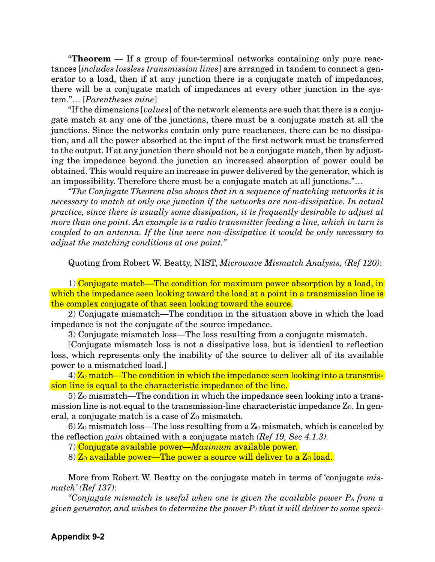"**Theorem** — If a group of four-terminal networks containing only pure reactances [*includes lossless transmission lines*] are arranged in tandem to connect a generator to a load, then if at any junction there is a conjugate match of impedances, there will be a conjugate match of impedances at every other junction in the system."… [*Parentheses mine*]

"If the dimensions [*values*] of the network elements are such that there is a conjugate match at any one of the junctions, there must be a conjugate match at all the junctions. Since the networks contain only pure reactances, there can be no dissipation, and all the power absorbed at the input of the first network must be transferred to the output. If at any junction there should not be a conjugate match, then by adjusting the impedance beyond the junction an increased absorption of power could be obtained. This would require an increase in power delivered by the generator, which is an impossibility. Therefore there must be a conjugate match at all junctions."…

*"The Conjugate Theorem also shows that in a sequence of matching networks it is necessary to match at only one junction if the networks are non-dissipative. In actual practice, since there is usually some dissipation, it is frequently desirable to adjust at more than one point. An example is a radio transmitter feeding a line, which in turn is coupled to an antenna. If the line were non-dissipative it would be only necessary to adjust the matching conditions at one point."*

Quoting from Robert W. Beatty, NIST, *Microwave Mismatch Analysis, (Ref 120)*:

1) Conjugate match—The condition for maximum power absorption by a load, in which the impedance seen looking toward the load at a point in a transmission line is the complex conjugate of that seen looking toward the source.

2) Conjugate mismatch—The condition in the situation above in which the load impedance is not the conjugate of the source impedance.

3) Conjugate mismatch loss—The loss resulting from a conjugate mismatch.

[Conjugate mismatch loss is not a dissipative loss, but is identical to reflection loss, which represents only the inability of the source to deliver all of its available power to a mismatched load.]

 $4)$  Z<sub>0</sub> match—The condition in which the impedance seen looking into a transmission line is equal to the characteristic impedance of the line.

 $5)$  Z<sub>0</sub> mismatch—The condition in which the impedance seen looking into a transmission line is not equal to the transmission-line characteristic impedance  $Z_0$ . In general, a conjugate match is a case of  $Z_0$  mismatch.

 $6$ ) Z<sub>0</sub> mismatch loss—The loss resulting from a Z<sub>0</sub> mismatch, which is canceled by the reflection *gain* obtained with a conjugate match *(Ref 19, Sec 4.1.3).*

7) Conjugate available power—*Maximum* available power.

8)  $\mathbb{Z}_0$  available power—The power a source will deliver to a  $\mathbb{Z}_0$  load.

More from Robert W. Beatty on the conjugate match in terms of 'conjugate *mismatch' (Ref 137)*:

*"Conjugate mismatch is useful when one is given the available power PA from a given generator, and wishes to determine the power P1 that it will deliver to some speci-*